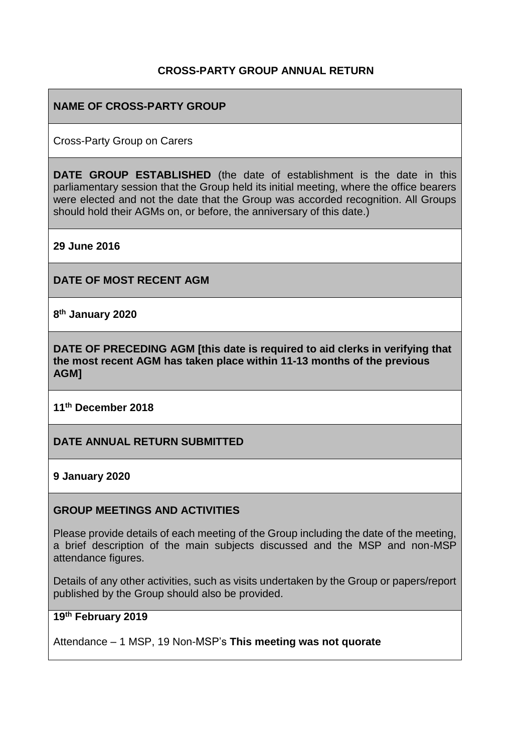#### **CROSS-PARTY GROUP ANNUAL RETURN**

#### **NAME OF CROSS-PARTY GROUP**

Cross-Party Group on Carers

**DATE GROUP ESTABLISHED** (the date of establishment is the date in this parliamentary session that the Group held its initial meeting, where the office bearers were elected and not the date that the Group was accorded recognition. All Groups should hold their AGMs on, or before, the anniversary of this date.)

**29 June 2016**

**DATE OF MOST RECENT AGM**

**8 th January 2020**

**DATE OF PRECEDING AGM [this date is required to aid clerks in verifying that the most recent AGM has taken place within 11-13 months of the previous AGM]**

**11th December 2018**

**DATE ANNUAL RETURN SUBMITTED**

**9 January 2020**

#### **GROUP MEETINGS AND ACTIVITIES**

Please provide details of each meeting of the Group including the date of the meeting, a brief description of the main subjects discussed and the MSP and non-MSP attendance figures.

Details of any other activities, such as visits undertaken by the Group or papers/report published by the Group should also be provided.

#### **19th February 2019**

Attendance – 1 MSP, 19 Non-MSP's **This meeting was not quorate**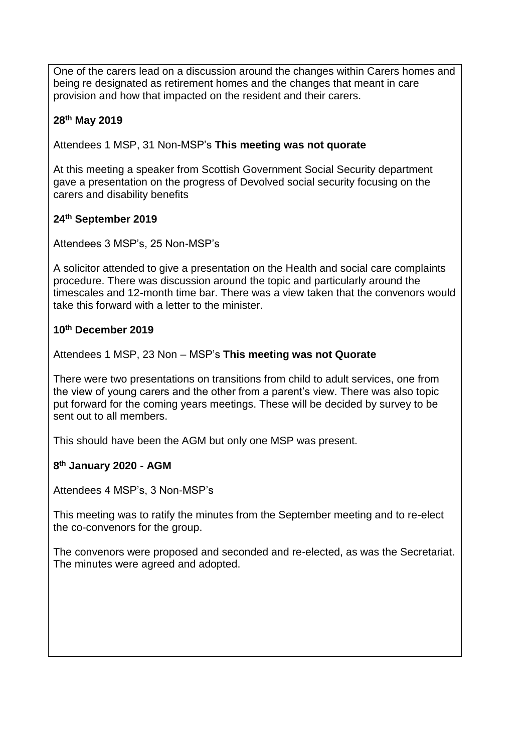One of the carers lead on a discussion around the changes within Carers homes and being re designated as retirement homes and the changes that meant in care provision and how that impacted on the resident and their carers.

#### **28th May 2019**

Attendees 1 MSP, 31 Non-MSP's **This meeting was not quorate**

At this meeting a speaker from Scottish Government Social Security department gave a presentation on the progress of Devolved social security focusing on the carers and disability benefits

## **24th September 2019**

Attendees 3 MSP's, 25 Non-MSP's

A solicitor attended to give a presentation on the Health and social care complaints procedure. There was discussion around the topic and particularly around the timescales and 12-month time bar. There was a view taken that the convenors would take this forward with a letter to the minister.

## **10th December 2019**

Attendees 1 MSP, 23 Non – MSP's **This meeting was not Quorate**

There were two presentations on transitions from child to adult services, one from the view of young carers and the other from a parent's view. There was also topic put forward for the coming years meetings. These will be decided by survey to be sent out to all members.

This should have been the AGM but only one MSP was present.

#### **8 th January 2020 - AGM**

Attendees 4 MSP's, 3 Non-MSP's

This meeting was to ratify the minutes from the September meeting and to re-elect the co-convenors for the group.

The convenors were proposed and seconded and re-elected, as was the Secretariat. The minutes were agreed and adopted.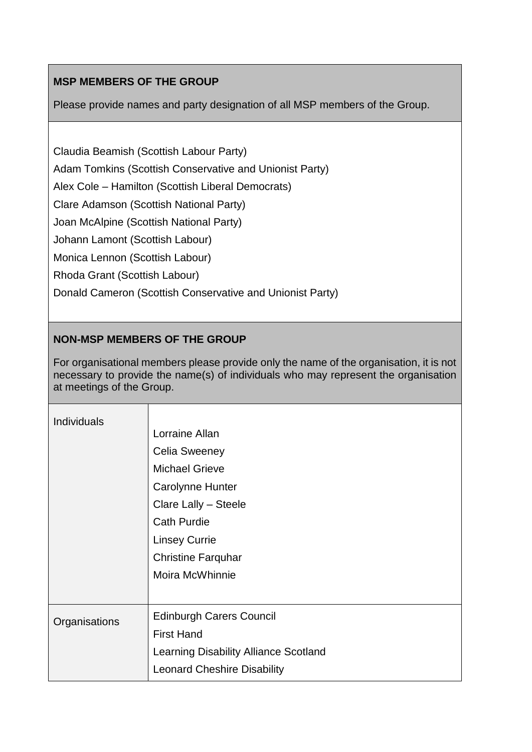# **MSP MEMBERS OF THE GROUP**

Please provide names and party designation of all MSP members of the Group.

Claudia Beamish (Scottish Labour Party)

Adam Tomkins (Scottish Conservative and Unionist Party)

Alex Cole – Hamilton (Scottish Liberal Democrats)

Clare Adamson (Scottish National Party)

Joan McAlpine (Scottish National Party)

Johann Lamont (Scottish Labour)

Monica Lennon (Scottish Labour)

Rhoda Grant (Scottish Labour)

Donald Cameron (Scottish Conservative and Unionist Party)

## **NON-MSP MEMBERS OF THE GROUP**

For organisational members please provide only the name of the organisation, it is not necessary to provide the name(s) of individuals who may represent the organisation at meetings of the Group.

| <b>Individuals</b> | Lorraine Allan<br><b>Celia Sweeney</b><br><b>Michael Grieve</b><br>Carolynne Hunter<br>Clare Lally - Steele<br><b>Cath Purdie</b><br><b>Linsey Currie</b><br><b>Christine Farquhar</b><br>Moira McWhinnie |
|--------------------|-----------------------------------------------------------------------------------------------------------------------------------------------------------------------------------------------------------|
| Organisations      | <b>Edinburgh Carers Council</b><br><b>First Hand</b><br><b>Learning Disability Alliance Scotland</b><br><b>Leonard Cheshire Disability</b>                                                                |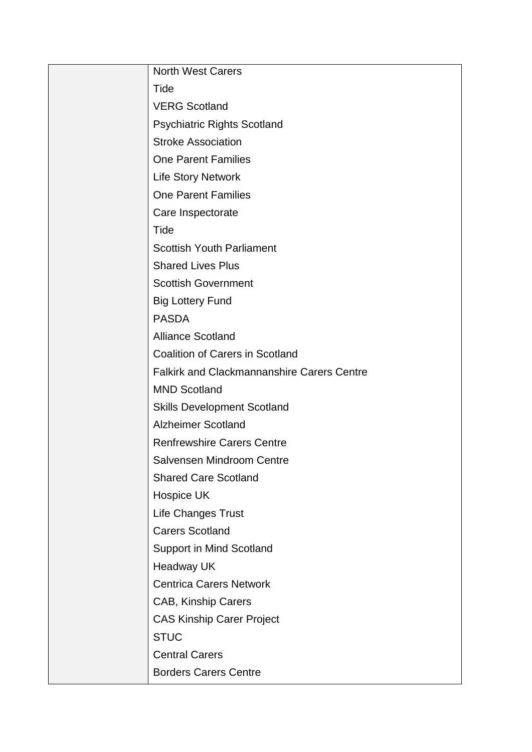| <b>North West Carers</b>                          |
|---------------------------------------------------|
| Tide                                              |
| <b>VERG Scotland</b>                              |
| <b>Psychiatric Rights Scotland</b>                |
| <b>Stroke Association</b>                         |
| <b>One Parent Families</b>                        |
| <b>Life Story Network</b>                         |
| <b>One Parent Families</b>                        |
| Care Inspectorate                                 |
| Tide                                              |
| <b>Scottish Youth Parliament</b>                  |
| <b>Shared Lives Plus</b>                          |
| <b>Scottish Government</b>                        |
| <b>Big Lottery Fund</b>                           |
| <b>PASDA</b>                                      |
| <b>Alliance Scotland</b>                          |
| <b>Coalition of Carers in Scotland</b>            |
| <b>Falkirk and Clackmannanshire Carers Centre</b> |
| <b>MND Scotland</b>                               |
| <b>Skills Development Scotland</b>                |
| <b>Alzheimer Scotland</b>                         |
| <b>Renfrewshire Carers Centre</b>                 |
| Salvensen Mindroom Centre                         |
| <b>Shared Care Scotland</b>                       |
| Hospice UK                                        |
| Life Changes Trust                                |
| <b>Carers Scotland</b>                            |
| <b>Support in Mind Scotland</b>                   |
| <b>Headway UK</b>                                 |
| <b>Centrica Carers Network</b>                    |
| CAB, Kinship Carers                               |
| <b>CAS Kinship Carer Project</b>                  |
| <b>STUC</b>                                       |
| <b>Central Carers</b>                             |
| <b>Borders Carers Centre</b>                      |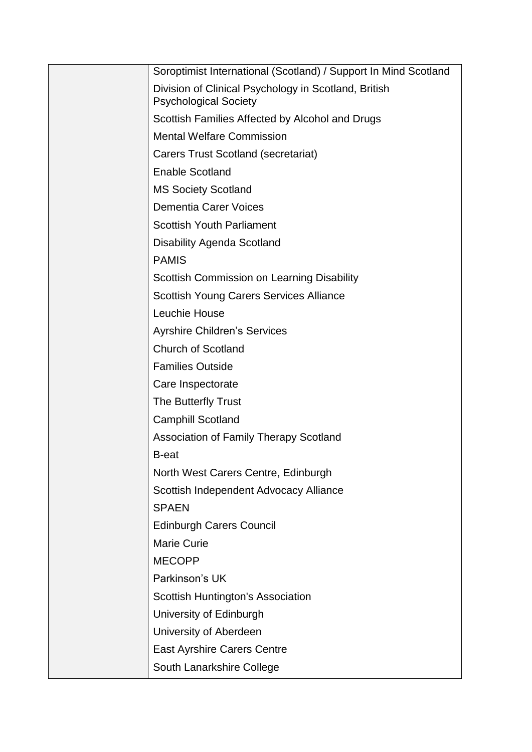| Soroptimist International (Scotland) / Support In Mind Scotland                      |
|--------------------------------------------------------------------------------------|
| Division of Clinical Psychology in Scotland, British<br><b>Psychological Society</b> |
| Scottish Families Affected by Alcohol and Drugs                                      |
| <b>Mental Welfare Commission</b>                                                     |
| Carers Trust Scotland (secretariat)                                                  |
| <b>Enable Scotland</b>                                                               |
| <b>MS Society Scotland</b>                                                           |
| <b>Dementia Carer Voices</b>                                                         |
| <b>Scottish Youth Parliament</b>                                                     |
| <b>Disability Agenda Scotland</b>                                                    |
| <b>PAMIS</b>                                                                         |
| Scottish Commission on Learning Disability                                           |
| <b>Scottish Young Carers Services Alliance</b>                                       |
| Leuchie House                                                                        |
| <b>Ayrshire Children's Services</b>                                                  |
| <b>Church of Scotland</b>                                                            |
| <b>Families Outside</b>                                                              |
| Care Inspectorate                                                                    |
| The Butterfly Trust                                                                  |
| <b>Camphill Scotland</b>                                                             |
| Association of Family Therapy Scotland                                               |
| <b>B-eat</b>                                                                         |
| North West Carers Centre, Edinburgh                                                  |
| Scottish Independent Advocacy Alliance                                               |
| <b>SPAEN</b>                                                                         |
| <b>Edinburgh Carers Council</b>                                                      |
| <b>Marie Curie</b>                                                                   |
| <b>MECOPP</b>                                                                        |
| Parkinson's UK                                                                       |
| Scottish Huntington's Association                                                    |
| University of Edinburgh                                                              |
| University of Aberdeen                                                               |
| <b>East Ayrshire Carers Centre</b>                                                   |
| South Lanarkshire College                                                            |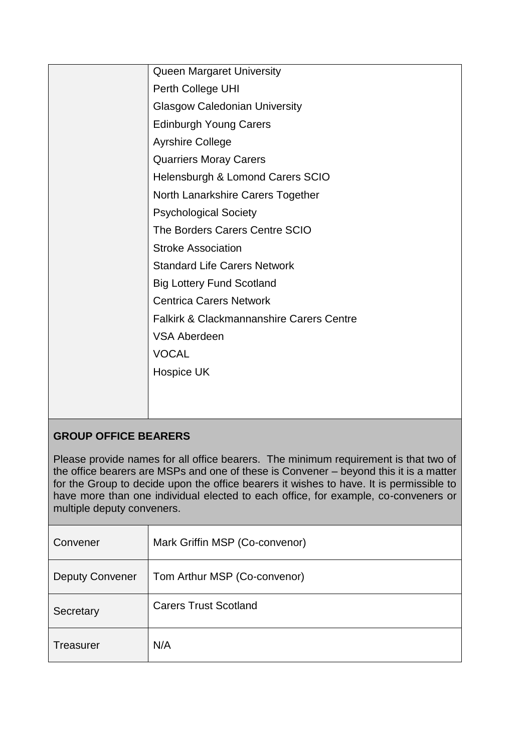| Queen Margaret University                           |
|-----------------------------------------------------|
| Perth College UHI                                   |
| <b>Glasgow Caledonian University</b>                |
| <b>Edinburgh Young Carers</b>                       |
| <b>Ayrshire College</b>                             |
| <b>Quarriers Moray Carers</b>                       |
| Helensburgh & Lomond Carers SCIO                    |
| North Lanarkshire Carers Together                   |
| <b>Psychological Society</b>                        |
| The Borders Carers Centre SCIO                      |
| <b>Stroke Association</b>                           |
| <b>Standard Life Carers Network</b>                 |
| <b>Big Lottery Fund Scotland</b>                    |
| <b>Centrica Carers Network</b>                      |
| <b>Falkirk &amp; Clackmannanshire Carers Centre</b> |
| <b>VSA Aberdeen</b>                                 |
| <b>VOCAL</b>                                        |
| Hospice UK                                          |
|                                                     |
|                                                     |
|                                                     |

# **GROUP OFFICE BEARERS**

Please provide names for all office bearers. The minimum requirement is that two of the office bearers are MSPs and one of these is Convener – beyond this it is a matter for the Group to decide upon the office bearers it wishes to have. It is permissible to have more than one individual elected to each office, for example, co-conveners or multiple deputy conveners.

| Convener               | Mark Griffin MSP (Co-convenor) |
|------------------------|--------------------------------|
| <b>Deputy Convener</b> | Tom Arthur MSP (Co-convenor)   |
| Secretary              | <b>Carers Trust Scotland</b>   |
| Treasurer              | N/A                            |